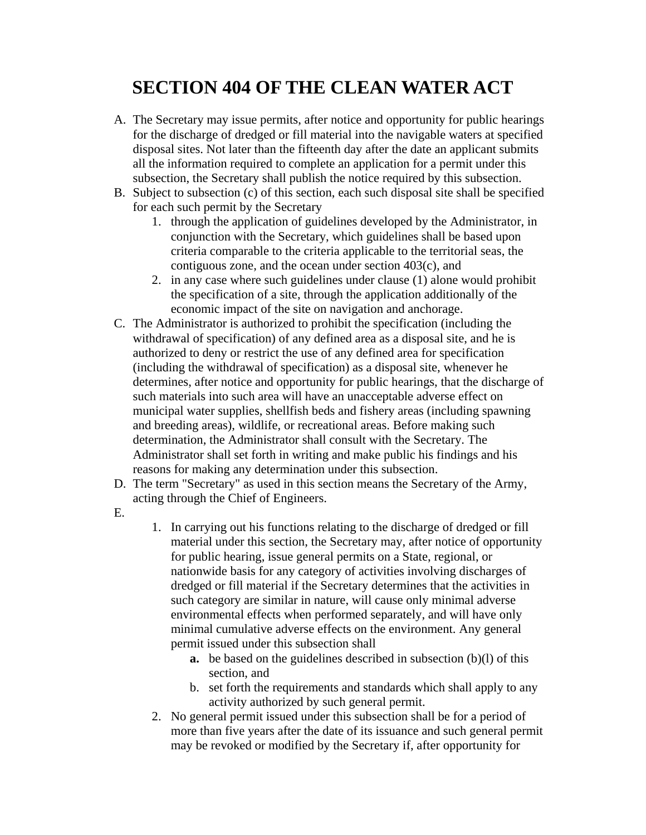## **SECTION 404 OF THE CLEAN WATER ACT**

- A. The Secretary may issue permits, after notice and opportunity for public hearings for the discharge of dredged or fill material into the navigable waters at specified disposal sites. Not later than the fifteenth day after the date an applicant submits all the information required to complete an application for a permit under this subsection, the Secretary shall publish the notice required by this subsection.
- B. Subject to subsection (c) of this section, each such disposal site shall be specified for each such permit by the Secretary
	- 1. through the application of guidelines developed by the Administrator, in conjunction with the Secretary, which guidelines shall be based upon criteria comparable to the criteria applicable to the territorial seas, the contiguous zone, and the ocean under section 403(c), and
	- 2. in any case where such guidelines under clause (1) alone would prohibit the specification of a site, through the application additionally of the economic impact of the site on navigation and anchorage.
- C. The Administrator is authorized to prohibit the specification (including the withdrawal of specification) of any defined area as a disposal site, and he is authorized to deny or restrict the use of any defined area for specification (including the withdrawal of specification) as a disposal site, whenever he determines, after notice and opportunity for public hearings, that the discharge of such materials into such area will have an unacceptable adverse effect on municipal water supplies, shellfish beds and fishery areas (including spawning and breeding areas), wildlife, or recreational areas. Before making such determination, the Administrator shall consult with the Secretary. The Administrator shall set forth in writing and make public his findings and his reasons for making any determination under this subsection.
- D. The term "Secretary" as used in this section means the Secretary of the Army, acting through the Chief of Engineers.
- E.
- 1. In carrying out his functions relating to the discharge of dredged or fill material under this section, the Secretary may, after notice of opportunity for public hearing, issue general permits on a State, regional, or nationwide basis for any category of activities involving discharges of dredged or fill material if the Secretary determines that the activities in such category are similar in nature, will cause only minimal adverse environmental effects when performed separately, and will have only minimal cumulative adverse effects on the environment. Any general permit issued under this subsection shall
	- **a.** be based on the guidelines described in subsection (b)(l) of this section, and
	- b. set forth the requirements and standards which shall apply to any activity authorized by such general permit.
- 2. No general permit issued under this subsection shall be for a period of more than five years after the date of its issuance and such general permit may be revoked or modified by the Secretary if, after opportunity for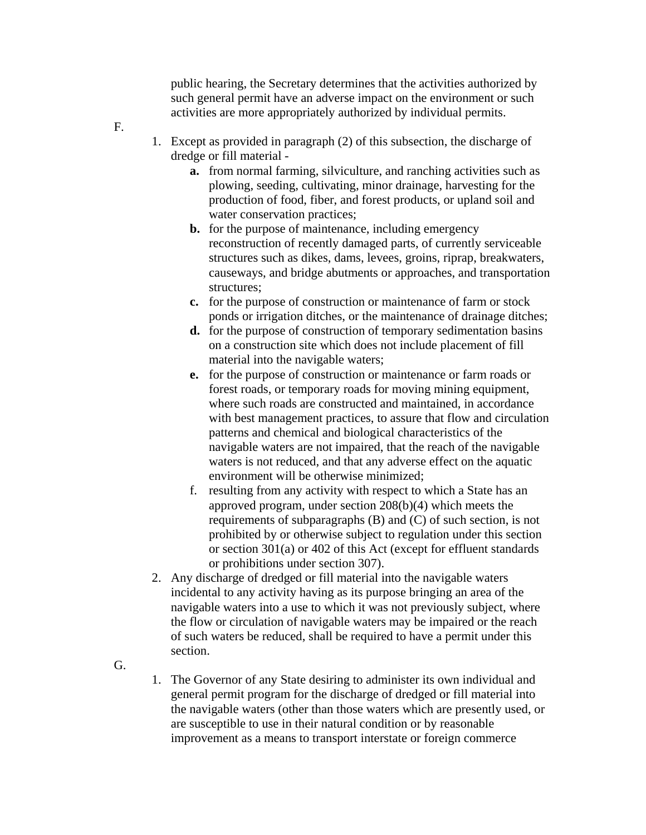public hearing, the Secretary determines that the activities authorized by such general permit have an adverse impact on the environment or such activities are more appropriately authorized by individual permits.

- F.
- 1. Except as provided in paragraph (2) of this subsection, the discharge of dredge or fill material
	- **a.** from normal farming, silviculture, and ranching activities such as plowing, seeding, cultivating, minor drainage, harvesting for the production of food, fiber, and forest products, or upland soil and water conservation practices;
	- **b.** for the purpose of maintenance, including emergency reconstruction of recently damaged parts, of currently serviceable structures such as dikes, dams, levees, groins, riprap, breakwaters, causeways, and bridge abutments or approaches, and transportation structures;
	- **c.** for the purpose of construction or maintenance of farm or stock ponds or irrigation ditches, or the maintenance of drainage ditches;
	- **d.** for the purpose of construction of temporary sedimentation basins on a construction site which does not include placement of fill material into the navigable waters;
	- **e.** for the purpose of construction or maintenance or farm roads or forest roads, or temporary roads for moving mining equipment, where such roads are constructed and maintained, in accordance with best management practices, to assure that flow and circulation patterns and chemical and biological characteristics of the navigable waters are not impaired, that the reach of the navigable waters is not reduced, and that any adverse effect on the aquatic environment will be otherwise minimized;
	- f. resulting from any activity with respect to which a State has an approved program, under section 208(b)(4) which meets the requirements of subparagraphs (B) and (C) of such section, is not prohibited by or otherwise subject to regulation under this section or section 301(a) or 402 of this Act (except for effluent standards or prohibitions under section 307).
- 2. Any discharge of dredged or fill material into the navigable waters incidental to any activity having as its purpose bringing an area of the navigable waters into a use to which it was not previously subject, where the flow or circulation of navigable waters may be impaired or the reach of such waters be reduced, shall be required to have a permit under this section.
- G.
- 1. The Governor of any State desiring to administer its own individual and general permit program for the discharge of dredged or fill material into the navigable waters (other than those waters which are presently used, or are susceptible to use in their natural condition or by reasonable improvement as a means to transport interstate or foreign commerce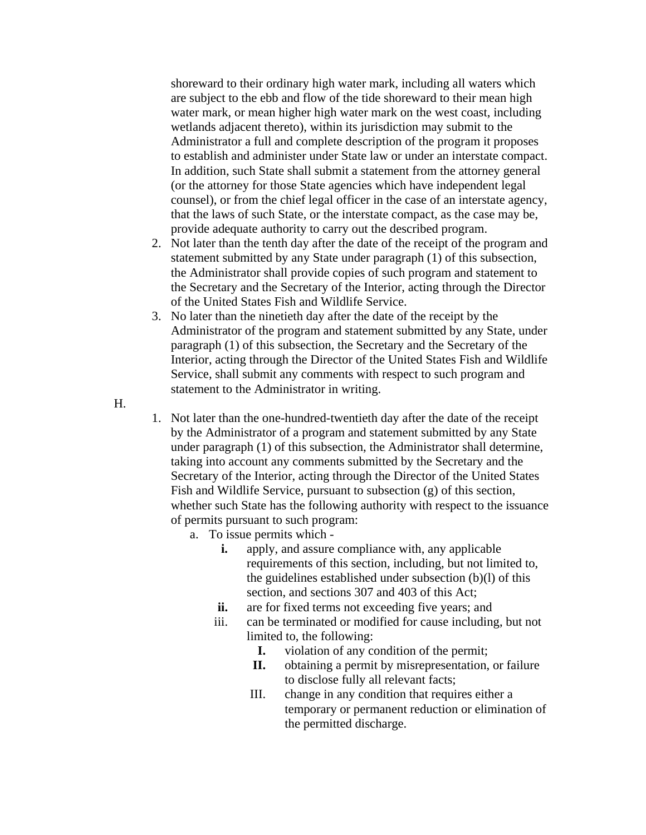shoreward to their ordinary high water mark, including all waters which are subject to the ebb and flow of the tide shoreward to their mean high water mark, or mean higher high water mark on the west coast, including wetlands adjacent thereto), within its jurisdiction may submit to the Administrator a full and complete description of the program it proposes to establish and administer under State law or under an interstate compact. In addition, such State shall submit a statement from the attorney general (or the attorney for those State agencies which have independent legal counsel), or from the chief legal officer in the case of an interstate agency, that the laws of such State, or the interstate compact, as the case may be, provide adequate authority to carry out the described program.

- 2. Not later than the tenth day after the date of the receipt of the program and statement submitted by any State under paragraph (1) of this subsection, the Administrator shall provide copies of such program and statement to the Secretary and the Secretary of the Interior, acting through the Director of the United States Fish and Wildlife Service.
- 3. No later than the ninetieth day after the date of the receipt by the Administrator of the program and statement submitted by any State, under paragraph (1) of this subsection, the Secretary and the Secretary of the Interior, acting through the Director of the United States Fish and Wildlife Service, shall submit any comments with respect to such program and statement to the Administrator in writing.
- H.
- 1. Not later than the one-hundred-twentieth day after the date of the receipt by the Administrator of a program and statement submitted by any State under paragraph (1) of this subsection, the Administrator shall determine, taking into account any comments submitted by the Secretary and the Secretary of the Interior, acting through the Director of the United States Fish and Wildlife Service, pursuant to subsection (g) of this section, whether such State has the following authority with respect to the issuance of permits pursuant to such program:
	- a. To issue permits which
		- **i.** apply, and assure compliance with, any applicable requirements of this section, including, but not limited to, the guidelines established under subsection (b)(l) of this section, and sections 307 and 403 of this Act;
		- **ii.** are for fixed terms not exceeding five years; and
		- iii. can be terminated or modified for cause including, but not limited to, the following:
			- **I.** violation of any condition of the permit;
			- **II.** obtaining a permit by misrepresentation, or failure to disclose fully all relevant facts;
			- III. change in any condition that requires either a temporary or permanent reduction or elimination of the permitted discharge.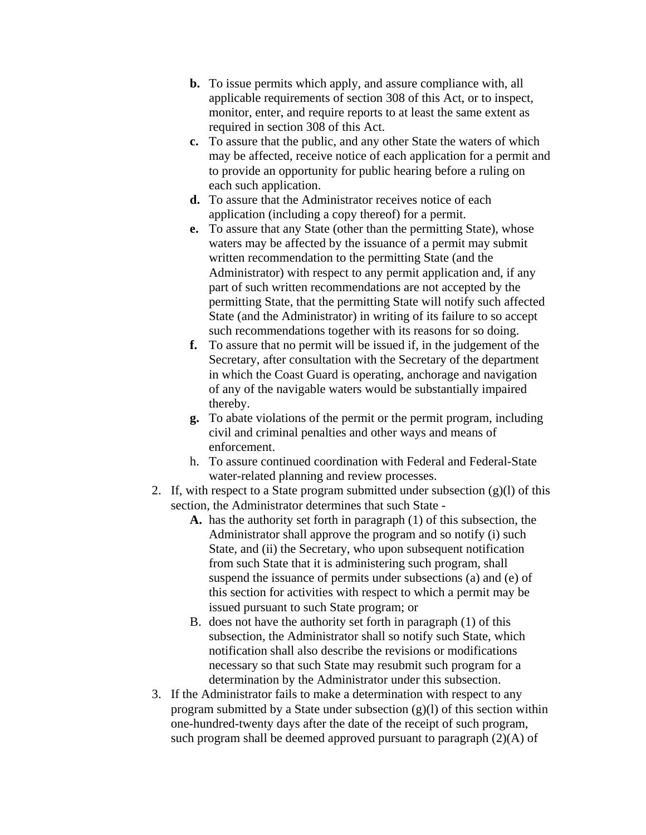- **b.** To issue permits which apply, and assure compliance with, all applicable requirements of section 308 of this Act, or to inspect, monitor, enter, and require reports to at least the same extent as required in section 308 of this Act.
- **c.** To assure that the public, and any other State the waters of which may be affected, receive notice of each application for a permit and to provide an opportunity for public hearing before a ruling on each such application.
- **d.** To assure that the Administrator receives notice of each application (including a copy thereof) for a permit.
- **e.** To assure that any State (other than the permitting State), whose waters may be affected by the issuance of a permit may submit written recommendation to the permitting State (and the Administrator) with respect to any permit application and, if any part of such written recommendations are not accepted by the permitting State, that the permitting State will notify such affected State (and the Administrator) in writing of its failure to so accept such recommendations together with its reasons for so doing.
- **f.** To assure that no permit will be issued if, in the judgement of the Secretary, after consultation with the Secretary of the department in which the Coast Guard is operating, anchorage and navigation of any of the navigable waters would be substantially impaired thereby.
- **g.** To abate violations of the permit or the permit program, including civil and criminal penalties and other ways and means of enforcement.
- h. To assure continued coordination with Federal and Federal-State water-related planning and review processes.
- 2. If, with respect to a State program submitted under subsection (g)(l) of this section, the Administrator determines that such State -
	- **A.** has the authority set forth in paragraph (1) of this subsection, the Administrator shall approve the program and so notify (i) such State, and (ii) the Secretary, who upon subsequent notification from such State that it is administering such program, shall suspend the issuance of permits under subsections (a) and (e) of this section for activities with respect to which a permit may be issued pursuant to such State program; or
	- B. does not have the authority set forth in paragraph (1) of this subsection, the Administrator shall so notify such State, which notification shall also describe the revisions or modifications necessary so that such State may resubmit such program for a determination by the Administrator under this subsection.
- 3. If the Administrator fails to make a determination with respect to any program submitted by a State under subsection  $(g)(l)$  of this section within one-hundred-twenty days after the date of the receipt of such program, such program shall be deemed approved pursuant to paragraph  $(2)(A)$  of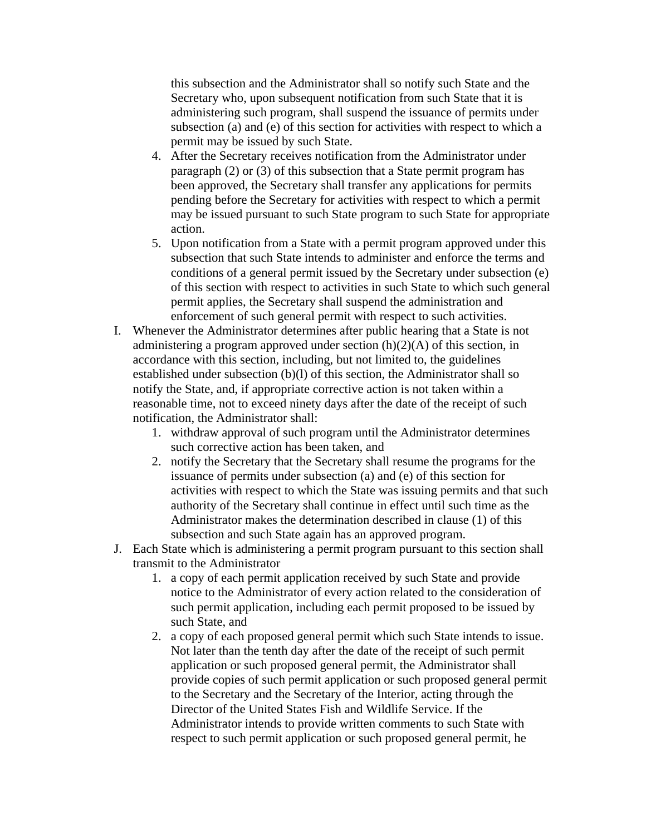this subsection and the Administrator shall so notify such State and the Secretary who, upon subsequent notification from such State that it is administering such program, shall suspend the issuance of permits under subsection (a) and (e) of this section for activities with respect to which a permit may be issued by such State.

- 4. After the Secretary receives notification from the Administrator under paragraph (2) or (3) of this subsection that a State permit program has been approved, the Secretary shall transfer any applications for permits pending before the Secretary for activities with respect to which a permit may be issued pursuant to such State program to such State for appropriate action.
- 5. Upon notification from a State with a permit program approved under this subsection that such State intends to administer and enforce the terms and conditions of a general permit issued by the Secretary under subsection (e) of this section with respect to activities in such State to which such general permit applies, the Secretary shall suspend the administration and enforcement of such general permit with respect to such activities.
- I. Whenever the Administrator determines after public hearing that a State is not administering a program approved under section  $(h)(2)(A)$  of this section, in accordance with this section, including, but not limited to, the guidelines established under subsection (b)(l) of this section, the Administrator shall so notify the State, and, if appropriate corrective action is not taken within a reasonable time, not to exceed ninety days after the date of the receipt of such notification, the Administrator shall:
	- 1. withdraw approval of such program until the Administrator determines such corrective action has been taken, and
	- 2. notify the Secretary that the Secretary shall resume the programs for the issuance of permits under subsection (a) and (e) of this section for activities with respect to which the State was issuing permits and that such authority of the Secretary shall continue in effect until such time as the Administrator makes the determination described in clause (1) of this subsection and such State again has an approved program.
- J. Each State which is administering a permit program pursuant to this section shall transmit to the Administrator
	- 1. a copy of each permit application received by such State and provide notice to the Administrator of every action related to the consideration of such permit application, including each permit proposed to be issued by such State, and
	- 2. a copy of each proposed general permit which such State intends to issue. Not later than the tenth day after the date of the receipt of such permit application or such proposed general permit, the Administrator shall provide copies of such permit application or such proposed general permit to the Secretary and the Secretary of the Interior, acting through the Director of the United States Fish and Wildlife Service. If the Administrator intends to provide written comments to such State with respect to such permit application or such proposed general permit, he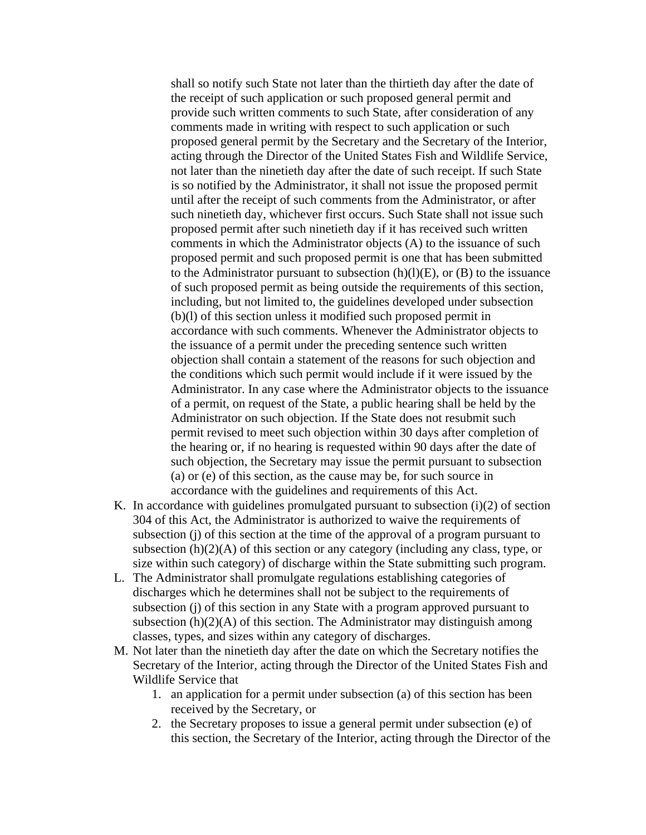shall so notify such State not later than the thirtieth day after the date of the receipt of such application or such proposed general permit and provide such written comments to such State, after consideration of any comments made in writing with respect to such application or such proposed general permit by the Secretary and the Secretary of the Interior, acting through the Director of the United States Fish and Wildlife Service, not later than the ninetieth day after the date of such receipt. If such State is so notified by the Administrator, it shall not issue the proposed permit until after the receipt of such comments from the Administrator, or after such ninetieth day, whichever first occurs. Such State shall not issue such proposed permit after such ninetieth day if it has received such written comments in which the Administrator objects (A) to the issuance of such proposed permit and such proposed permit is one that has been submitted to the Administrator pursuant to subsection  $(h)(l)(E)$ , or  $(B)$  to the issuance of such proposed permit as being outside the requirements of this section, including, but not limited to, the guidelines developed under subsection (b)(l) of this section unless it modified such proposed permit in accordance with such comments. Whenever the Administrator objects to the issuance of a permit under the preceding sentence such written objection shall contain a statement of the reasons for such objection and the conditions which such permit would include if it were issued by the Administrator. In any case where the Administrator objects to the issuance of a permit, on request of the State, a public hearing shall be held by the Administrator on such objection. If the State does not resubmit such permit revised to meet such objection within 30 days after completion of the hearing or, if no hearing is requested within 90 days after the date of such objection, the Secretary may issue the permit pursuant to subsection (a) or (e) of this section, as the cause may be, for such source in accordance with the guidelines and requirements of this Act.

- K. In accordance with guidelines promulgated pursuant to subsection (i)(2) of section 304 of this Act, the Administrator is authorized to waive the requirements of subsection (j) of this section at the time of the approval of a program pursuant to subsection (h)(2)(A) of this section or any category (including any class, type, or size within such category) of discharge within the State submitting such program.
- L. The Administrator shall promulgate regulations establishing categories of discharges which he determines shall not be subject to the requirements of subsection (j) of this section in any State with a program approved pursuant to subsection  $(h)(2)(A)$  of this section. The Administrator may distinguish among classes, types, and sizes within any category of discharges.
- M. Not later than the ninetieth day after the date on which the Secretary notifies the Secretary of the Interior, acting through the Director of the United States Fish and Wildlife Service that
	- 1. an application for a permit under subsection (a) of this section has been received by the Secretary, or
	- 2. the Secretary proposes to issue a general permit under subsection (e) of this section, the Secretary of the Interior, acting through the Director of the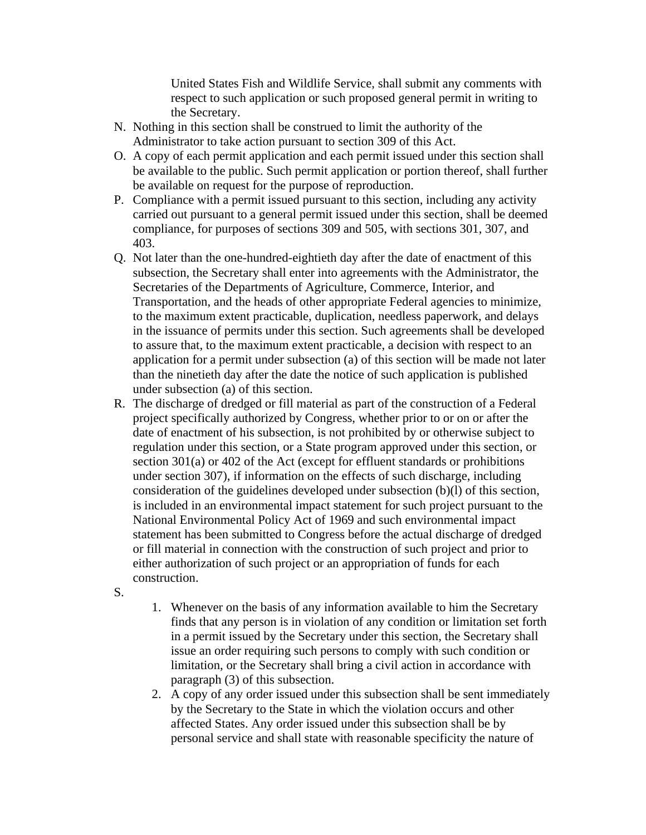United States Fish and Wildlife Service, shall submit any comments with respect to such application or such proposed general permit in writing to the Secretary.

- N. Nothing in this section shall be construed to limit the authority of the Administrator to take action pursuant to section 309 of this Act.
- O. A copy of each permit application and each permit issued under this section shall be available to the public. Such permit application or portion thereof, shall further be available on request for the purpose of reproduction.
- P. Compliance with a permit issued pursuant to this section, including any activity carried out pursuant to a general permit issued under this section, shall be deemed compliance, for purposes of sections 309 and 505, with sections 301, 307, and 403.
- Q. Not later than the one-hundred-eightieth day after the date of enactment of this subsection, the Secretary shall enter into agreements with the Administrator, the Secretaries of the Departments of Agriculture, Commerce, Interior, and Transportation, and the heads of other appropriate Federal agencies to minimize, to the maximum extent practicable, duplication, needless paperwork, and delays in the issuance of permits under this section. Such agreements shall be developed to assure that, to the maximum extent practicable, a decision with respect to an application for a permit under subsection (a) of this section will be made not later than the ninetieth day after the date the notice of such application is published under subsection (a) of this section.
- R. The discharge of dredged or fill material as part of the construction of a Federal project specifically authorized by Congress, whether prior to or on or after the date of enactment of his subsection, is not prohibited by or otherwise subject to regulation under this section, or a State program approved under this section, or section 301(a) or 402 of the Act (except for effluent standards or prohibitions under section 307), if information on the effects of such discharge, including consideration of the guidelines developed under subsection (b)(l) of this section, is included in an environmental impact statement for such project pursuant to the National Environmental Policy Act of 1969 and such environmental impact statement has been submitted to Congress before the actual discharge of dredged or fill material in connection with the construction of such project and prior to either authorization of such project or an appropriation of funds for each construction.
- S.
- 1. Whenever on the basis of any information available to him the Secretary finds that any person is in violation of any condition or limitation set forth in a permit issued by the Secretary under this section, the Secretary shall issue an order requiring such persons to comply with such condition or limitation, or the Secretary shall bring a civil action in accordance with paragraph (3) of this subsection.
- 2. A copy of any order issued under this subsection shall be sent immediately by the Secretary to the State in which the violation occurs and other affected States. Any order issued under this subsection shall be by personal service and shall state with reasonable specificity the nature of